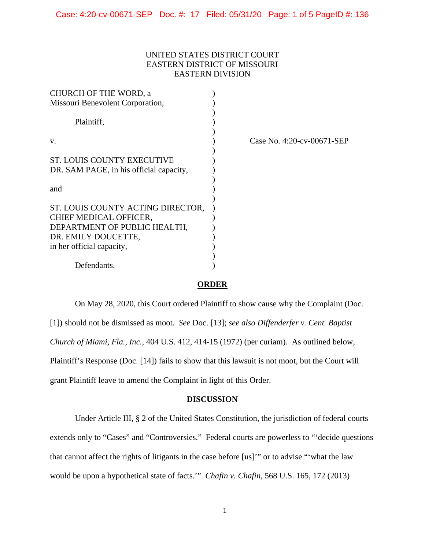## UNITED STATES DISTRICT COURT EASTERN DISTRICT OF MISSOURI EASTERN DIVISION

| CHURCH OF THE WORD, a                   |                            |
|-----------------------------------------|----------------------------|
| Missouri Benevolent Corporation,        |                            |
| Plaintiff,                              |                            |
| V.                                      | Case No. 4:20-cv-00671-SEP |
| ST. LOUIS COUNTY EXECUTIVE              |                            |
| DR. SAM PAGE, in his official capacity, |                            |
| and                                     |                            |
| ST. LOUIS COUNTY ACTING DIRECTOR,       |                            |
| CHIEF MEDICAL OFFICER,                  |                            |
| DEPARTMENT OF PUBLIC HEALTH,            |                            |
| DR. EMILY DOUCETTE,                     |                            |
| in her official capacity,               |                            |
|                                         |                            |
| Defendants.                             |                            |

### **ORDER**

On May 28, 2020, this Court ordered Plaintiff to show cause why the Complaint (Doc. [1]) should not be dismissed as moot. *See* Doc. [13]; *see also Diffenderfer v. Cent. Baptist Church of Miami, Fla., Inc.*, 404 U.S. 412, 414-15 (1972) (per curiam). As outlined below, Plaintiff's Response (Doc. [14]) fails to show that this lawsuit is not moot, but the Court will grant Plaintiff leave to amend the Complaint in light of this Order.

### **DISCUSSION**

Under Article III, § 2 of the United States Constitution, the jurisdiction of federal courts extends only to "Cases" and "Controversies." Federal courts are powerless to "'decide questions that cannot affect the rights of litigants in the case before [us]'" or to advise "'what the law would be upon a hypothetical state of facts.'" *Chafin v. Chafin*, 568 U.S. 165, 172 (2013)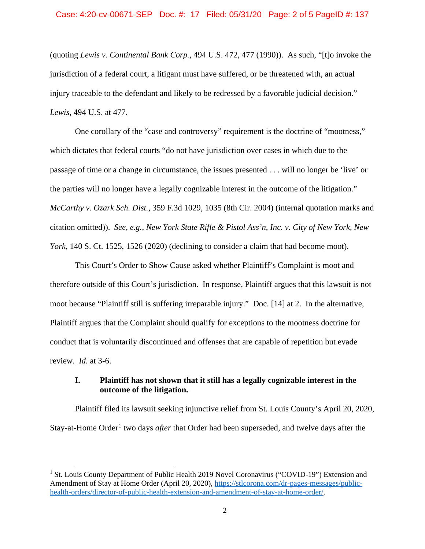### Case: 4:20-cv-00671-SEP Doc. #: 17 Filed: 05/31/20 Page: 2 of 5 PageID #: 137

(quoting *Lewis v. Continental Bank Corp.*, 494 U.S. 472, 477 (1990)). As such, "[t]o invoke the jurisdiction of a federal court, a litigant must have suffered, or be threatened with, an actual injury traceable to the defendant and likely to be redressed by a favorable judicial decision." *Lewis,* 494 U.S. at 477.

One corollary of the "case and controversy" requirement is the doctrine of "mootness," which dictates that federal courts "do not have jurisdiction over cases in which due to the passage of time or a change in circumstance, the issues presented . . . will no longer be 'live' or the parties will no longer have a legally cognizable interest in the outcome of the litigation." *McCarthy v. Ozark Sch. Dist.*, 359 F.3d 1029, 1035 (8th Cir. 2004) (internal quotation marks and citation omitted)). *See, e.g.*, *New York State Rifle & Pistol Ass'n, Inc. v. City of New York, New York*, 140 S. Ct. 1525, 1526 (2020) (declining to consider a claim that had become moot).

This Court's Order to Show Cause asked whether Plaintiff's Complaint is moot and therefore outside of this Court's jurisdiction. In response, Plaintiff argues that this lawsuit is not moot because "Plaintiff still is suffering irreparable injury." Doc. [14] at 2. In the alternative, Plaintiff argues that the Complaint should qualify for exceptions to the mootness doctrine for conduct that is voluntarily discontinued and offenses that are capable of repetition but evade review. *Id.* at 3-6.

## **I. Plaintiff has not shown that it still has a legally cognizable interest in the outcome of the litigation.**

Plaintiff filed its lawsuit seeking injunctive relief from St. Louis County's April 20, 2020, Stay-at-Home Order<sup>[1](#page-1-0)</sup> two days *after* that Order had been superseded, and twelve days after the

<span id="page-1-0"></span><sup>&</sup>lt;sup>1</sup> St. Louis County Department of Public Health 2019 Novel Coronavirus ("COVID-19") Extension and Amendment of Stay at Home Order (April 20, 2020), [https://stlcorona.com/dr-pages-messages/public](https://stlcorona.com/dr-pages-messages/public-health-orders/director-of-public-health-extension-and-amendment-of-stay-at-home-order/)[health-orders/director-of-public-health-extension-and-amendment-of-stay-at-home-order/.](https://stlcorona.com/dr-pages-messages/public-health-orders/director-of-public-health-extension-and-amendment-of-stay-at-home-order/)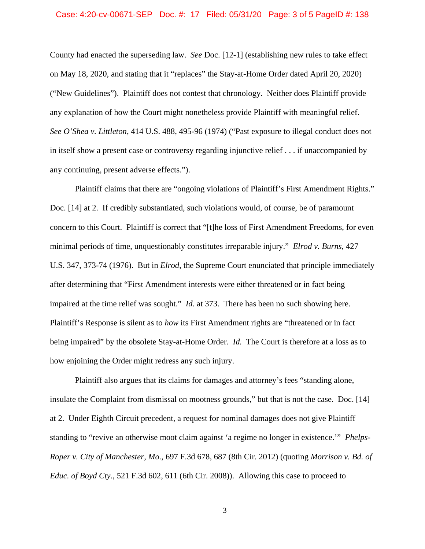### Case: 4:20-cv-00671-SEP Doc. #: 17 Filed: 05/31/20 Page: 3 of 5 PageID #: 138

County had enacted the superseding law. *See* Doc. [12-1] (establishing new rules to take effect on May 18, 2020, and stating that it "replaces" the Stay-at-Home Order dated April 20, 2020) ("New Guidelines"). Plaintiff does not contest that chronology. Neither does Plaintiff provide any explanation of how the Court might nonetheless provide Plaintiff with meaningful relief. *See O'Shea v. Littleton*, 414 U.S. 488, 495-96 (1974) ("Past exposure to illegal conduct does not in itself show a present case or controversy regarding injunctive relief . . . if unaccompanied by any continuing, present adverse effects.").

Plaintiff claims that there are "ongoing violations of Plaintiff's First Amendment Rights." Doc. [14] at 2. If credibly substantiated, such violations would, of course, be of paramount concern to this Court. Plaintiff is correct that "[t]he loss of First Amendment Freedoms, for even minimal periods of time, unquestionably constitutes irreparable injury." *Elrod v. Burns*, 427 U.S. 347, 373-74 (1976). But in *Elrod*, the Supreme Court enunciated that principle immediately after determining that "First Amendment interests were either threatened or in fact being impaired at the time relief was sought." *Id.* at 373. There has been no such showing here. Plaintiff's Response is silent as to *how* its First Amendment rights are "threatened or in fact being impaired" by the obsolete Stay-at-Home Order. *Id.* The Court is therefore at a loss as to how enjoining the Order might redress any such injury.

Plaintiff also argues that its claims for damages and attorney's fees "standing alone, insulate the Complaint from dismissal on mootness grounds," but that is not the case. Doc. [14] at 2. Under Eighth Circuit precedent, a request for nominal damages does not give Plaintiff standing to "revive an otherwise moot claim against 'a regime no longer in existence.'" *Phelps-Roper v. City of Manchester, Mo.*, 697 F.3d 678, 687 (8th Cir. 2012) (quoting *Morrison v. Bd. of Educ. of Boyd Cty.*, 521 F.3d 602, 611 (6th Cir. 2008)). Allowing this case to proceed to

3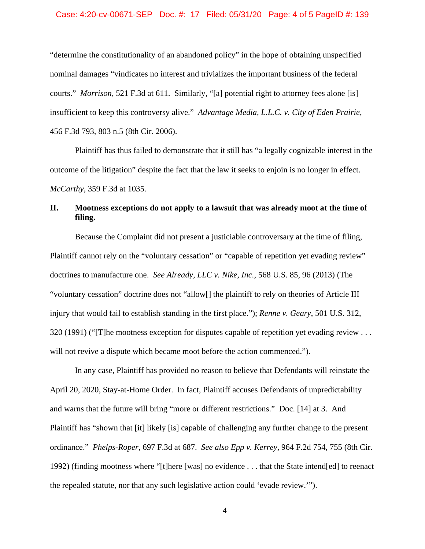### Case: 4:20-cv-00671-SEP Doc. #: 17 Filed: 05/31/20 Page: 4 of 5 PageID #: 139

"determine the constitutionality of an abandoned policy" in the hope of obtaining unspecified nominal damages "vindicates no interest and trivializes the important business of the federal courts." *Morrison*, 521 F.3d at 611. Similarly, "[a] potential right to attorney fees alone [is] insufficient to keep this controversy alive." *Advantage Media, L.L.C. v. City of Eden Prairie*, 456 F.3d 793, 803 n.5 (8th Cir. 2006).

Plaintiff has thus failed to demonstrate that it still has "a legally cognizable interest in the outcome of the litigation" despite the fact that the law it seeks to enjoin is no longer in effect. *McCarthy*, 359 F.3d at 1035.

# **II. Mootness exceptions do not apply to a lawsuit that was already moot at the time of filing.**

Because the Complaint did not present a justiciable controversary at the time of filing, Plaintiff cannot rely on the "voluntary cessation" or "capable of repetition yet evading review" doctrines to manufacture one. *See Already, LLC v. Nike, Inc.*, 568 U.S. 85, 96 (2013) (The "voluntary cessation" doctrine does not "allow[] the plaintiff to rely on theories of Article III injury that would fail to establish standing in the first place."); *Renne v. Geary*, 501 U.S. 312, 320 (1991) ("[T]he mootness exception for disputes capable of repetition yet evading review . . . will not revive a dispute which became moot before the action commenced.").

In any case, Plaintiff has provided no reason to believe that Defendants will reinstate the April 20, 2020, Stay-at-Home Order. In fact, Plaintiff accuses Defendants of unpredictability and warns that the future will bring "more or different restrictions." Doc. [14] at 3. And Plaintiff has "shown that [it] likely [is] capable of challenging any further change to the present ordinance." *Phelps-Roper*, 697 F.3d at 687. *See also Epp v. Kerrey*, 964 F.2d 754, 755 (8th Cir. 1992) (finding mootness where "[t]here [was] no evidence . . . that the State intend[ed] to reenact the repealed statute, nor that any such legislative action could 'evade review.'").